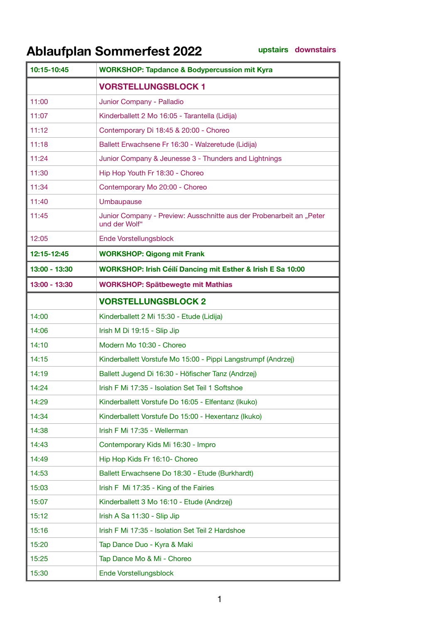## **Ablaufplan Sommerfest 2022**

**upstairs downstairs**

| 10:15-10:45   | <b>WORKSHOP: Tapdance &amp; Bodypercussion mit Kyra</b>                               |
|---------------|---------------------------------------------------------------------------------------|
|               | <b>VORSTELLUNGSBLOCK 1</b>                                                            |
| 11:00         | Junior Company - Palladio                                                             |
| 11:07         | Kinderballett 2 Mo 16:05 - Tarantella (Lidija)                                        |
| 11:12         | Contemporary Di 18:45 & 20:00 - Choreo                                                |
| 11:18         | Ballett Erwachsene Fr 16:30 - Walzeretude (Lidija)                                    |
| 11:24         | Junior Company & Jeunesse 3 - Thunders and Lightnings                                 |
| 11:30         | Hip Hop Youth Fr 18:30 - Choreo                                                       |
| 11:34         | Contemporary Mo 20:00 - Choreo                                                        |
| 11:40         | Umbaupause                                                                            |
| 11:45         | Junior Company - Preview: Ausschnitte aus der Probenarbeit an "Peter<br>und der Wolf" |
| 12:05         | Ende Vorstellungsblock                                                                |
| 12:15-12:45   | <b>WORKSHOP: Qigong mit Frank</b>                                                     |
| 13:00 - 13:30 | WORKSHOP: Irish Céilí Dancing mit Esther & Irish E Sa 10:00                           |
| 13:00 - 13:30 | <b>WORKSHOP: Spätbewegte mit Mathias</b>                                              |
|               | <b>VORSTELLUNGSBLOCK 2</b>                                                            |
| 14:00         | Kinderballett 2 Mi 15:30 - Etude (Lidija)                                             |
| 14:06         | Irish M Di 19:15 - Slip Jip                                                           |
| 14:10         | Modern Mo 10:30 - Choreo                                                              |
| 14:15         | Kinderballett Vorstufe Mo 15:00 - Pippi Langstrumpf (Andrzej)                         |
| 14:19         | Ballett Jugend Di 16:30 - Höfischer Tanz (Andrzej)                                    |
| 14:24         | Irish F Mi 17:35 - Isolation Set Teil 1 Softshoe                                      |
| 14:29         | Kinderballett Vorstufe Do 16:05 - Elfentanz (Ikuko)                                   |
| 14:34         | Kinderballett Vorstufe Do 15:00 - Hexentanz (Ikuko)                                   |
| 14:38         | Irish F Mi 17:35 - Wellerman                                                          |
| 14:43         | Contemporary Kids Mi 16:30 - Impro                                                    |
| 14:49         | Hip Hop Kids Fr 16:10- Choreo                                                         |
| 14:53         | Ballett Erwachsene Do 18:30 - Etude (Burkhardt)                                       |
| 15:03         | Irish F Mi 17:35 - King of the Fairies                                                |
| 15:07         | Kinderballett 3 Mo 16:10 - Etude (Andrzej)                                            |
| 15:12         | Irish A Sa 11:30 - Slip Jip                                                           |
| 15:16         | Irish F Mi 17:35 - Isolation Set Teil 2 Hardshoe                                      |
| 15:20         | Tap Dance Duo - Kyra & Maki                                                           |
| 15:25         | Tap Dance Mo & Mi - Choreo                                                            |
| 15:30         | Ende Vorstellungsblock                                                                |